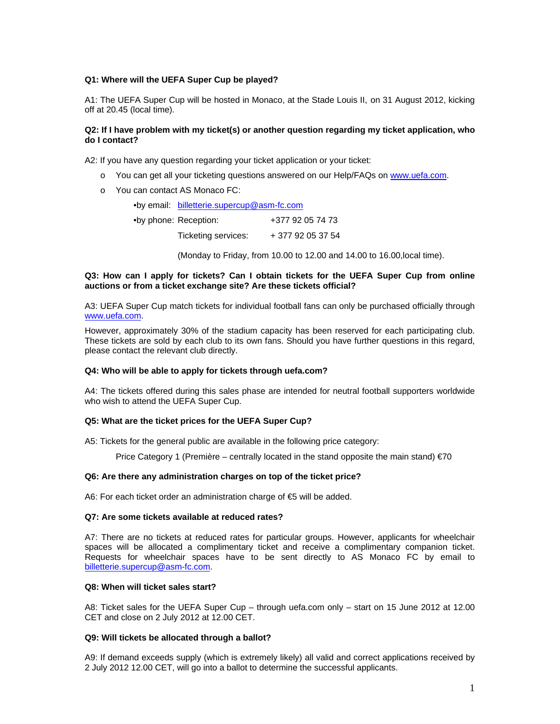## **Q1: Where will the UEFA Super Cup be played?**

A1: The UEFA Super Cup will be hosted in Monaco, at the Stade Louis II, on 31 August 2012, kicking off at 20.45 (local time).

# **Q2: If I have problem with my ticket(s) or another question regarding my ticket application, who do I contact?**

A2: If you have any question regarding your ticket application or your ticket:

- o You can get all your ticketing questions answered on our Help/FAQs on www.uefa.com.
- o You can contact AS Monaco FC:

•by email: billetterie.supercup@asm-fc.com

| •by phone: Reception: | +377 92 05 74 73  |
|-----------------------|-------------------|
| Ticketing services:   | + 377 92 05 37 54 |

(Monday to Friday, from 10.00 to 12.00 and 14.00 to 16.00,local time).

## **Q3: How can I apply for tickets? Can I obtain tickets for the UEFA Super Cup from online auctions or from a ticket exchange site? Are these tickets official?**

A3: UEFA Super Cup match tickets for individual football fans can only be purchased officially through www.uefa.com.

However, approximately 30% of the stadium capacity has been reserved for each participating club. These tickets are sold by each club to its own fans. Should you have further questions in this regard, please contact the relevant club directly.

# **Q4: Who will be able to apply for tickets through uefa.com?**

A4: The tickets offered during this sales phase are intended for neutral football supporters worldwide who wish to attend the UEFA Super Cup.

### **Q5: What are the ticket prices for the UEFA Super Cup?**

A5: Tickets for the general public are available in the following price category:

Price Category 1 (Première – centrally located in the stand opposite the main stand)  $\epsilon$ 70

### **Q6: Are there any administration charges on top of the ticket price?**

A6: For each ticket order an administration charge of €5 will be added.

### **Q7: Are some tickets available at reduced rates?**

A7: There are no tickets at reduced rates for particular groups. However, applicants for wheelchair spaces will be allocated a complimentary ticket and receive a complimentary companion ticket. Requests for wheelchair spaces have to be sent directly to AS Monaco FC by email to billetterie.supercup@asm-fc.com.

# **Q8: When will ticket sales start?**

A8: Ticket sales for the UEFA Super Cup – through uefa.com only – start on 15 June 2012 at 12.00 CET and close on 2 July 2012 at 12.00 CET.

#### **Q9: Will tickets be allocated through a ballot?**

A9: If demand exceeds supply (which is extremely likely) all valid and correct applications received by 2 July 2012 12.00 CET, will go into a ballot to determine the successful applicants.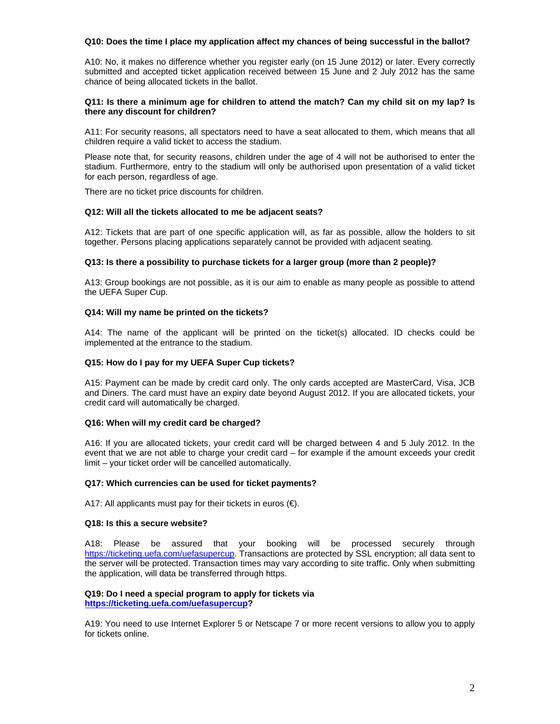## **Q10: Does the time I place my application affect my chances of being successful in the ballot?**

A10: No, it makes no difference whether you register early (on 15 June 2012) or later. Every correctly submitted and accepted ticket application received between 15 June and 2 July 2012 has the same chance of being allocated tickets in the ballot.

## **Q11: Is there a minimum age for children to attend the match? Can my child sit on my lap? Is there any discount for children?**

A11: For security reasons, all spectators need to have a seat allocated to them, which means that all children require a valid ticket to access the stadium.

Please note that, for security reasons, children under the age of 4 will not be authorised to enter the stadium. Furthermore, entry to the stadium will only be authorised upon presentation of a valid ticket for each person, regardless of age.

There are no ticket price discounts for children.

## **Q12: Will all the tickets allocated to me be adjacent seats?**

A12: Tickets that are part of one specific application will, as far as possible, allow the holders to sit together. Persons placing applications separately cannot be provided with adjacent seating.

## **Q13: Is there a possibility to purchase tickets for a larger group (more than 2 people)?**

A13: Group bookings are not possible, as it is our aim to enable as many people as possible to attend the UEFA Super Cup.

## **Q14: Will my name be printed on the tickets?**

A14: The name of the applicant will be printed on the ticket(s) allocated. ID checks could be implemented at the entrance to the stadium.

### **Q15: How do I pay for my UEFA Super Cup tickets?**

A15: Payment can be made by credit card only. The only cards accepted are MasterCard, Visa, JCB and Diners. The card must have an expiry date beyond August 2012. If you are allocated tickets, your credit card will automatically be charged.

### **Q16: When will my credit card be charged?**

A16: If you are allocated tickets, your credit card will be charged between 4 and 5 July 2012. In the event that we are not able to charge your credit card – for example if the amount exceeds your credit limit – your ticket order will be cancelled automatically.

### **Q17: Which currencies can be used for ticket payments?**

A17: All applicants must pay for their tickets in euros  $(\epsilon)$ .

#### **Q18: Is this a secure website?**

A18: Please be assured that your booking will be processed securely through https://ticketing.uefa.com/uefasupercup. Transactions are protected by SSL encryption; all data sent to the server will be protected. Transaction times may vary according to site traffic. Only when submitting the application, will data be transferred through https.

#### **Q19: Do I need a special program to apply for tickets via https://ticketing.uefa.com/uefasupercup?**

A19: You need to use Internet Explorer 5 or Netscape 7 or more recent versions to allow you to apply for tickets online.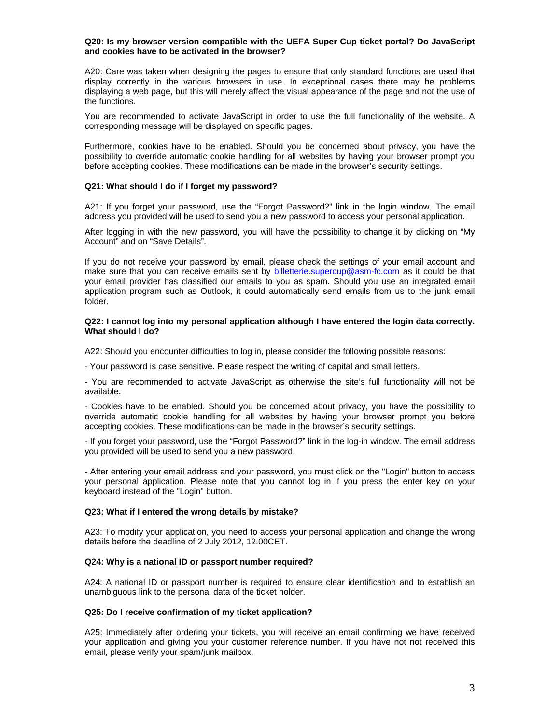### **Q20: Is my browser version compatible with the UEFA Super Cup ticket portal? Do JavaScript and cookies have to be activated in the browser?**

A20: Care was taken when designing the pages to ensure that only standard functions are used that display correctly in the various browsers in use. In exceptional cases there may be problems displaying a web page, but this will merely affect the visual appearance of the page and not the use of the functions.

You are recommended to activate JavaScript in order to use the full functionality of the website. A corresponding message will be displayed on specific pages.

Furthermore, cookies have to be enabled. Should you be concerned about privacy, you have the possibility to override automatic cookie handling for all websites by having your browser prompt you before accepting cookies. These modifications can be made in the browser's security settings.

## **Q21: What should I do if I forget my password?**

A21: If you forget your password, use the "Forgot Password?" link in the login window. The email address you provided will be used to send you a new password to access your personal application.

After logging in with the new password, you will have the possibility to change it by clicking on "My Account" and on "Save Details".

If you do not receive your password by email, please check the settings of your email account and make sure that you can receive emails sent by **billetterie.supercup@asm-fc.com** as it could be that your email provider has classified our emails to you as spam. Should you use an integrated email application program such as Outlook, it could automatically send emails from us to the junk email folder.

### **Q22: I cannot log into my personal application although I have entered the login data correctly. What should I do?**

A22: Should you encounter difficulties to log in, please consider the following possible reasons:

- Your password is case sensitive. Please respect the writing of capital and small letters.

- You are recommended to activate JavaScript as otherwise the site's full functionality will not be available.

- Cookies have to be enabled. Should you be concerned about privacy, you have the possibility to override automatic cookie handling for all websites by having your browser prompt you before accepting cookies. These modifications can be made in the browser's security settings.

- If you forget your password, use the "Forgot Password?" link in the log-in window. The email address you provided will be used to send you a new password.

- After entering your email address and your password, you must click on the "Login" button to access your personal application. Please note that you cannot log in if you press the enter key on your keyboard instead of the "Login" button.

### **Q23: What if I entered the wrong details by mistake?**

A23: To modify your application, you need to access your personal application and change the wrong details before the deadline of 2 July 2012, 12.00CET.

#### **Q24: Why is a national ID or passport number required?**

A24: A national ID or passport number is required to ensure clear identification and to establish an unambiguous link to the personal data of the ticket holder.

#### **Q25: Do I receive confirmation of my ticket application?**

A25: Immediately after ordering your tickets, you will receive an email confirming we have received your application and giving you your customer reference number. If you have not not received this email, please verify your spam/junk mailbox.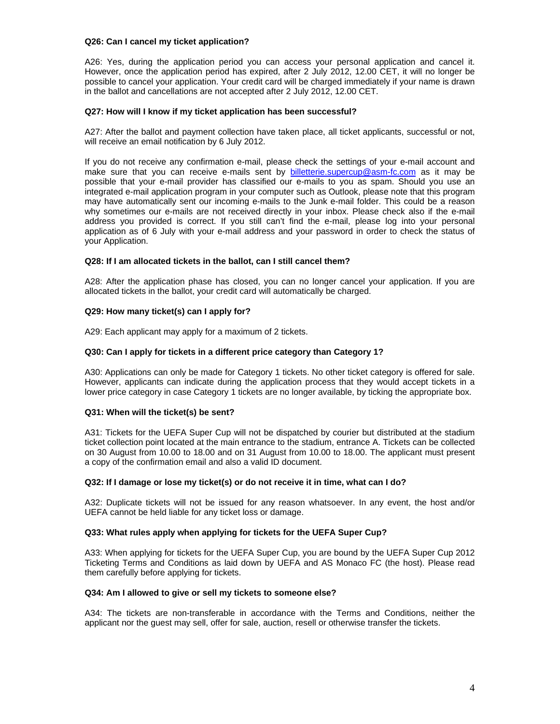## **Q26: Can I cancel my ticket application?**

A26: Yes, during the application period you can access your personal application and cancel it. However, once the application period has expired, after 2 July 2012, 12.00 CET, it will no longer be possible to cancel your application. Your credit card will be charged immediately if your name is drawn in the ballot and cancellations are not accepted after 2 July 2012, 12.00 CET.

## **Q27: How will I know if my ticket application has been successful?**

A27: After the ballot and payment collection have taken place, all ticket applicants, successful or not, will receive an email notification by 6 July 2012.

If you do not receive any confirmation e-mail, please check the settings of your e-mail account and make sure that you can receive e-mails sent by **billetterie**.supercup@asm-fc.com as it may be possible that your e-mail provider has classified our e-mails to you as spam. Should you use an integrated e-mail application program in your computer such as Outlook, please note that this program may have automatically sent our incoming e-mails to the Junk e-mail folder. This could be a reason why sometimes our e-mails are not received directly in your inbox. Please check also if the e-mail address you provided is correct. If you still can't find the e-mail, please log into your personal application as of 6 July with your e-mail address and your password in order to check the status of your Application.

### **Q28: If I am allocated tickets in the ballot, can I still cancel them?**

A28: After the application phase has closed, you can no longer cancel your application. If you are allocated tickets in the ballot, your credit card will automatically be charged.

## **Q29: How many ticket(s) can I apply for?**

A29: Each applicant may apply for a maximum of 2 tickets.

### **Q30: Can I apply for tickets in a different price category than Category 1?**

A30: Applications can only be made for Category 1 tickets. No other ticket category is offered for sale. However, applicants can indicate during the application process that they would accept tickets in a lower price category in case Category 1 tickets are no longer available, by ticking the appropriate box.

## **Q31: When will the ticket(s) be sent?**

A31: Tickets for the UEFA Super Cup will not be dispatched by courier but distributed at the stadium ticket collection point located at the main entrance to the stadium, entrance A. Tickets can be collected on 30 August from 10.00 to 18.00 and on 31 August from 10.00 to 18.00. The applicant must present a copy of the confirmation email and also a valid ID document.

#### **Q32: If I damage or lose my ticket(s) or do not receive it in time, what can I do?**

A32: Duplicate tickets will not be issued for any reason whatsoever. In any event, the host and/or UEFA cannot be held liable for any ticket loss or damage.

#### **Q33: What rules apply when applying for tickets for the UEFA Super Cup?**

A33: When applying for tickets for the UEFA Super Cup, you are bound by the UEFA Super Cup 2012 Ticketing Terms and Conditions as laid down by UEFA and AS Monaco FC (the host). Please read them carefully before applying for tickets.

#### **Q34: Am I allowed to give or sell my tickets to someone else?**

A34: The tickets are non-transferable in accordance with the Terms and Conditions, neither the applicant nor the guest may sell, offer for sale, auction, resell or otherwise transfer the tickets.